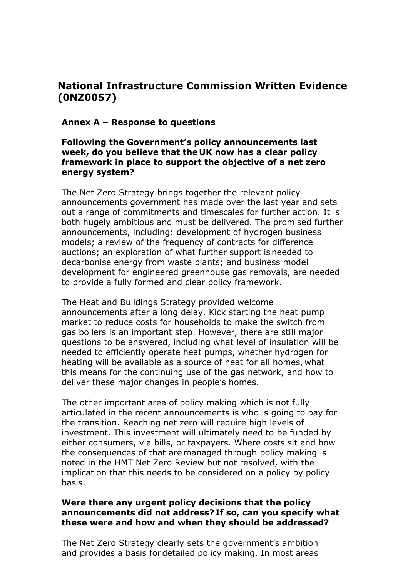# **National Infrastructure Commission Written Evidence (0NZ0057)**

### **Annex A – Response to questions**

### **Following the Government's policy announcements last week, do you believe that the UK now has a clear policy framework in place to support the objective of a net zero energy system?**

The Net Zero Strategy brings together the relevant policy announcements government has made over the last year and sets out a range of commitments and timescales for further action. It is both hugely ambitious and must be delivered. The promised further announcements, including: development of hydrogen business models; a review of the frequency of contracts for difference auctions; an exploration of what further support is needed to decarbonise energy from waste plants; and business model development for engineered greenhouse gas removals, are needed to provide a fully formed and clear policy framework.

The Heat and Buildings Strategy provided welcome announcements after a long delay. Kick starting the heat pump market to reduce costs for households to make the switch from gas boilers is an important step. However, there are still major questions to be answered, including what level of insulation will be needed to efficiently operate heat pumps, whether hydrogen for heating will be available as a source of heat for all homes, what this means for the continuing use of the gas network, and how to deliver these major changes in people's homes.

The other important area of policy making which is not fully articulated in the recent announcements is who is going to pay for the transition. Reaching net zero will require high levels of investment. This investment will ultimately need to be funded by either consumers, via bills, or taxpayers. Where costs sit and how the consequences of that are managed through policy making is noted in the HMT Net Zero Review but not resolved, with the implication that this needs to be considered on a policy by policy basis.

### **Were there any urgent policy decisions that the policy announcements did not address? If so, can you specify what these were and how and when they should be addressed?**

The Net Zero Strategy clearly sets the government's ambition and provides a basis for detailed policy making. In most areas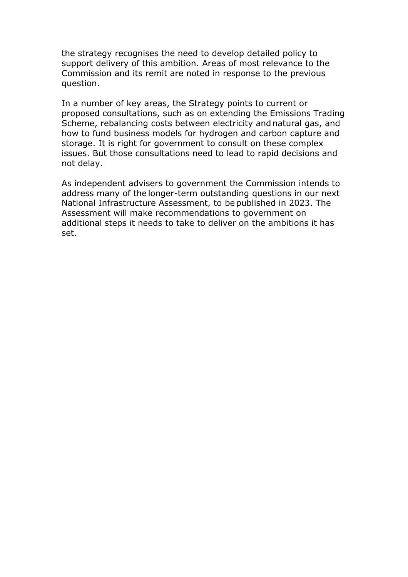the strategy recognises the need to develop detailed policy to support delivery of this ambition. Areas of most relevance to the Commission and its remit are noted in response to the previous question.

In a number of key areas, the Strategy points to current or proposed consultations, such as on extending the Emissions Trading Scheme, rebalancing costs between electricity and natural gas, and how to fund business models for hydrogen and carbon capture and storage. It is right for government to consult on these complex issues. But those consultations need to lead to rapid decisions and not delay.

As independent advisers to government the Commission intends to address many of the longer-term outstanding questions in our next National Infrastructure Assessment, to be published in 2023. The Assessment will make recommendations to government on additional steps it needs to take to deliver on the ambitions it has set.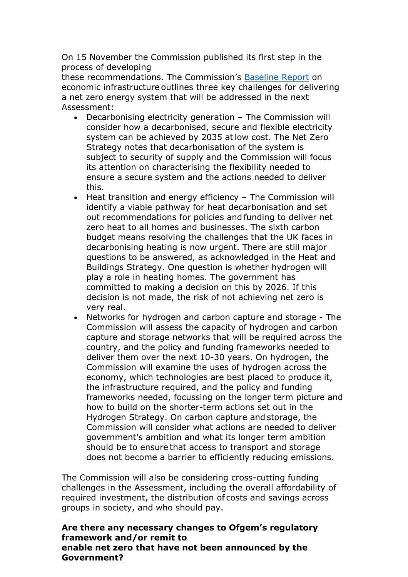On 15 November the Commission published its first step in the process of developing

these recommendations. The Commission's [Baseline](https://nic.org.uk/app/uploads/Revised-Second-National-Infrastructure-Assessment-Baseline-Report.pdf) [Report](https://nic.org.uk/app/uploads/Revised-Second-National-Infrastructure-Assessment-Baseline-Report.pdf) on economic infrastructure outlines three key challenges for delivering a net zero energy system that will be addressed in the next Assessment:

- Decarbonising electricity generation The Commission will consider how a decarbonised, secure and flexible electricity system can be achieved by 2035 atlow cost. The Net Zero Strategy notes that decarbonisation of the system is subject to security of supply and the Commission will focus its attention on characterising the flexibility needed to ensure a secure system and the actions needed to deliver this.
- Heat transition and energy efficiency The Commission will identify a viable pathway for heat decarbonisation and set out recommendations for policies and funding to deliver net zero heat to all homes and businesses. The sixth carbon budget means resolving the challenges that the UK faces in decarbonising heating is now urgent. There are still major questions to be answered, as acknowledged in the Heat and Buildings Strategy. One question is whether hydrogen will play a role in heating homes. The government has committed to making a decision on this by 2026. If this decision is not made, the risk of not achieving net zero is very real.
- Networks for hydrogen and carbon capture and storage The Commission will assess the capacity of hydrogen and carbon capture and storage networks that will be required across the country, and the policy and funding frameworks needed to deliver them over the next 10-30 years. On hydrogen, the Commission will examine the uses of hydrogen across the economy, which technologies are best placed to produce it, the infrastructure required, and the policy and funding frameworks needed, focussing on the longer term picture and how to build on the shorter-term actions set out in the Hydrogen Strategy. On carbon capture and storage, the Commission will consider what actions are needed to deliver government's ambition and what its longer term ambition should be to ensure that access to transport and storage does not become a barrier to efficiently reducing emissions.

The Commission will also be considering cross-cutting funding challenges in the Assessment, including the overall affordability of required investment, the distribution of costs and savings across groups in society, and who should pay.

**Are there any necessary changes to Ofgem's regulatory framework and/or remit to enable net zero that have not been announced by the Government?**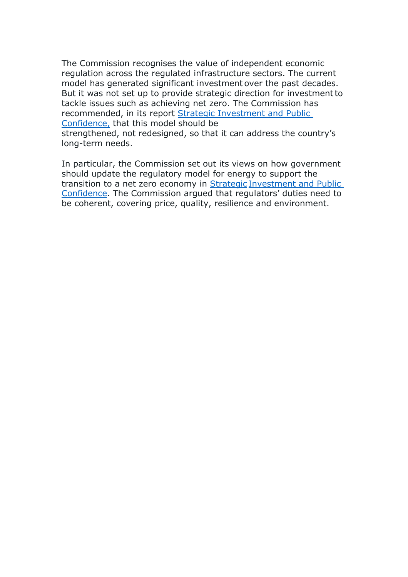The Commission recognises the value of independent economic regulation across the regulated infrastructure sectors. The current model has generated significant investment over the past decades. But it was not set up to provide strategic direction for investmentto tackle issues such as achieving net zero. The Commission has recommended, in its report [Strategic](https://nic.org.uk/app/uploads/NIC-Strategic-Investment-Public-Confidence-October-2019.pdf) [Investment](https://nic.org.uk/app/uploads/NIC-Strategic-Investment-Public-Confidence-October-2019.pdf) [and](https://nic.org.uk/app/uploads/NIC-Strategic-Investment-Public-Confidence-October-2019.pdf) [Public](https://nic.org.uk/app/uploads/NIC-Strategic-Investment-Public-Confidence-October-2019.pdf) [Confidence,](https://nic.org.uk/app/uploads/NIC-Strategic-Investment-Public-Confidence-October-2019.pdf) [t](https://nic.org.uk/app/uploads/NIC-Strategic-Investment-Public-Confidence-October-2019.pdf)hat this model should be strengthened, not redesigned, so that it can address the country's long-term needs.

In particular, the Commission set out its views on how government should update the regulatory model for energy to support the transition to a net zero economy in [Strategic](https://nic.org.uk/app/uploads/NIC-Strategic-Investment-Public-Confidence-October-2019.pdf) [Investment](https://nic.org.uk/app/uploads/NIC-Strategic-Investment-Public-Confidence-October-2019.pdf) [and](https://nic.org.uk/app/uploads/NIC-Strategic-Investment-Public-Confidence-October-2019.pdf) [Public](https://nic.org.uk/app/uploads/NIC-Strategic-Investment-Public-Confidence-October-2019.pdf) [Confidence.](https://nic.org.uk/app/uploads/NIC-Strategic-Investment-Public-Confidence-October-2019.pdf) [T](https://nic.org.uk/app/uploads/NIC-Strategic-Investment-Public-Confidence-October-2019.pdf)he Commission argued that regulators' duties need to be coherent, covering price, quality, resilience and environment.